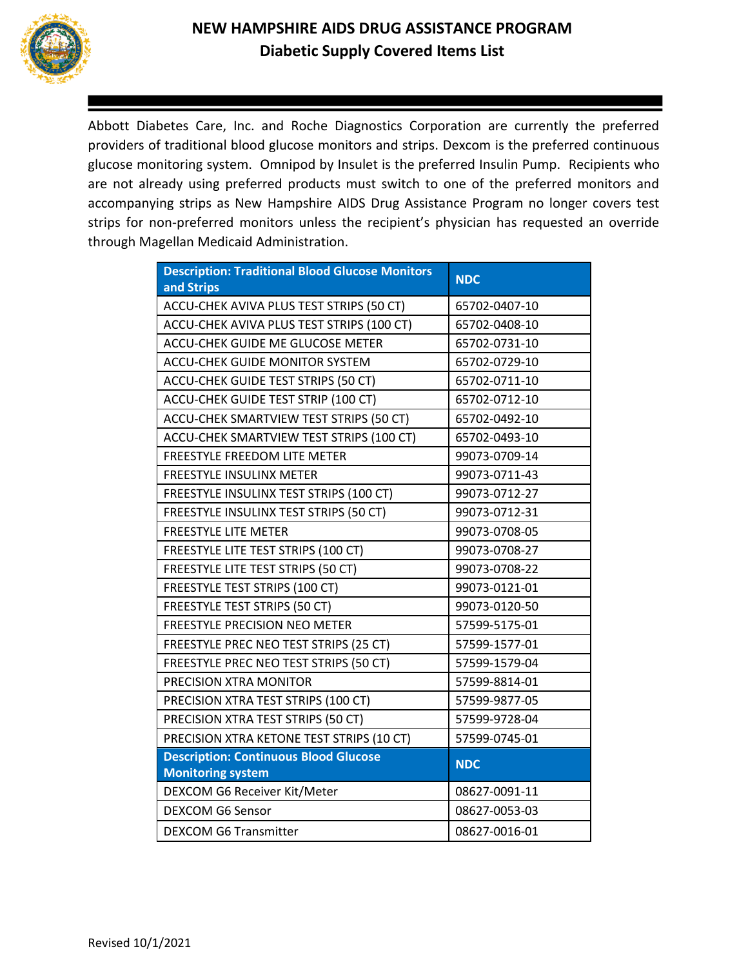

Abbott Diabetes Care, Inc. and Roche Diagnostics Corporation are currently the preferred providers of traditional blood glucose monitors and strips. Dexcom is the preferred continuous glucose monitoring system. Omnipod by Insulet is the preferred Insulin Pump. Recipients who are not already using preferred products must switch to one of the preferred monitors and accompanying strips as New Hampshire AIDS Drug Assistance Program no longer covers test strips for non-preferred monitors unless the recipient's physician has requested an override through Magellan Medicaid Administration.

| <b>Description: Traditional Blood Glucose Monitors</b><br>and Strips     | <b>NDC</b>    |
|--------------------------------------------------------------------------|---------------|
| ACCU-CHEK AVIVA PLUS TEST STRIPS (50 CT)                                 | 65702-0407-10 |
| ACCU-CHEK AVIVA PLUS TEST STRIPS (100 CT)                                | 65702-0408-10 |
| ACCU-CHEK GUIDE ME GLUCOSE METER                                         | 65702-0731-10 |
| <b>ACCU-CHEK GUIDE MONITOR SYSTEM</b>                                    | 65702-0729-10 |
| ACCU-CHEK GUIDE TEST STRIPS (50 CT)                                      | 65702-0711-10 |
| ACCU-CHEK GUIDE TEST STRIP (100 CT)                                      | 65702-0712-10 |
| ACCU-CHEK SMARTVIEW TEST STRIPS (50 CT)                                  | 65702-0492-10 |
| ACCU-CHEK SMARTVIEW TEST STRIPS (100 CT)                                 | 65702-0493-10 |
| FREESTYLE FREEDOM LITE METER                                             | 99073-0709-14 |
| <b>FREESTYLE INSULINX METER</b>                                          | 99073-0711-43 |
| FREESTYLE INSULINX TEST STRIPS (100 CT)                                  | 99073-0712-27 |
| FREESTYLE INSULINX TEST STRIPS (50 CT)                                   | 99073-0712-31 |
| <b>FREESTYLE LITE METER</b>                                              | 99073-0708-05 |
| FREESTYLE LITE TEST STRIPS (100 CT)                                      | 99073-0708-27 |
| FREESTYLE LITE TEST STRIPS (50 CT)                                       | 99073-0708-22 |
| FREESTYLE TEST STRIPS (100 CT)                                           | 99073-0121-01 |
| <b>FREESTYLE TEST STRIPS (50 CT)</b>                                     | 99073-0120-50 |
| <b>FREESTYLE PRECISION NEO METER</b>                                     | 57599-5175-01 |
| FREESTYLE PREC NEO TEST STRIPS (25 CT)                                   | 57599-1577-01 |
| FREESTYLE PREC NEO TEST STRIPS (50 CT)                                   | 57599-1579-04 |
| PRECISION XTRA MONITOR                                                   | 57599-8814-01 |
| PRECISION XTRA TEST STRIPS (100 CT)                                      | 57599-9877-05 |
| PRECISION XTRA TEST STRIPS (50 CT)                                       | 57599-9728-04 |
| PRECISION XTRA KETONE TEST STRIPS (10 CT)                                | 57599-0745-01 |
| <b>Description: Continuous Blood Glucose</b><br><b>Monitoring system</b> | <b>NDC</b>    |
| DEXCOM G6 Receiver Kit/Meter                                             | 08627-0091-11 |
| <b>DEXCOM G6 Sensor</b>                                                  | 08627-0053-03 |
| <b>DEXCOM G6 Transmitter</b>                                             | 08627-0016-01 |